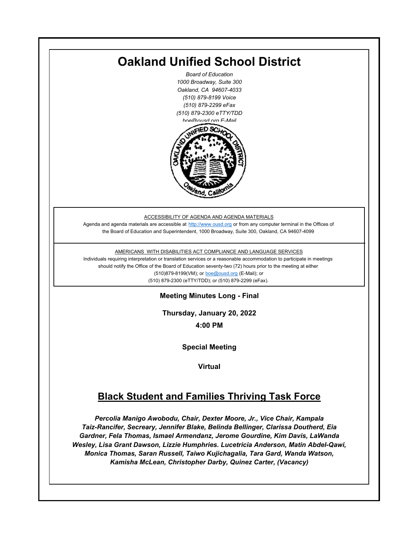

*Monica Thomas, Saran Russell, Taiwo Kujichagalia, Tara Gard, Wanda Watson, Kamisha McLean, Christopher Darby, Quinez Carter, (Vacancy)*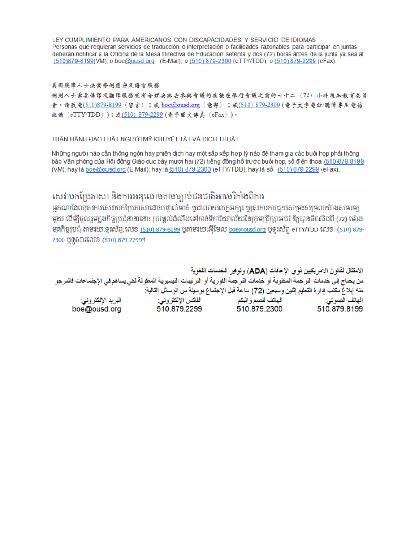LEY CUMPLIMIENTO PARA AMERICANOS CON DISCAPACIDADES Y SERVICIO DE IDIOMAS Personas que requieran servicios de traducción o interpretación o facilidades razonables para participar en juntas deberán notificar a la Oficina de la Mesa Directiva de Educación setenta y dos (72) horas antes de la junta ya sea al (510)879-8199(VM); o boe@ousd.org (E-Mail); o (510) 879-2300 (eTTY/TDD); o (510) 879-2299 (eFax).

#### 美国残障人士法案條例遵守及語言服務

個别人士需要傳譯及翻譯服務或有合理安排去參與會議的應該在舉行會議之前的七十二 (72) 小時通知教育委員 會。請致電(510)879-8199(留言);或 boe@ousd.org (電郵) ;或(510) 879-2300 (電子文字電話/聽障專用電信 設備 (eTTY/TDD));或(510)879-2299(電子圖文傳真 (eFax))。

#### TUÂN HÀNH ĐẠO LUẬT NGƯỜI MỸ KHUYẾT TẤT VÀ DỊCH THUẬT

Những người nào cần thông ngôn hay phiên dịch hay một sắp xếp hợp lý nào để tham gia các buổi họp phải thông báo Văn phòng của Hội đồng Giáo dục bảy mươi hai (72) tiếng đồng hồ trước buổi họp, số điện thoại (510)879-8199 (VM); hay là boe@ousd.org (E-Mail); hay là (510) 879-2300 (eTTY/TDD); hay là số (510) 879-2299 (eFax).

## សេវាបកប្រែភាសា និងការអនុលោមតាមច្បាប់ជនជាតិអាមេរិកាំងពិការ

អកណាដែលតេវការសេវាបកប្រែភាសាដោយផ្ទាល់មាត់ ឬជាលាយលក្ខអក្សរ ឬត្រូវការការជួយសម្រះសម្រលយ៉ាងសមរម្យ មយ ដើម្បីចលរមកងកិច្ចប្រជុំនានានោះ ត្រូវផ្តល់ដំណឹងទៅកាន់ទីការិយាល័យនៃក្រមប្រឹក្សាអប់រំ ឱ្យបានចិតសិបពី (72) ម៉ោង ម្មនកិច្ចប្រជុំ តាមរយៈទូរស័ព្ទ:លេខ (<u>510) 879-8199</u> បុតាមរយៈអ៊ីមែល <u>boe@ousd.org</u> បុទ្**រ**ស័ព្ទ eTTY/TDD លេខ (510) 879-2300 ប៊ូទ្មិសារលេខ (510) 879-2299។

الامتثال لقانون الأمريكيين نو ي الإعاقات (ADA) وتوفير الخدمات اللغوية من يحتاج إلى خدمات التر جمة المكتوبة أو خدمات التر جمة الفورية أو الترتيبات التيسيرية المعفّولة لكي يساهم في الإجتماعات فالمرجو منه إبلاغ مكتب إدارة التعليم إثنين وسبعين (72) ساعة قبل الإجتماع بوسيلة من الوسائل التالية: البريد الإلكتروني: 510.879.2299 boe@ousd.org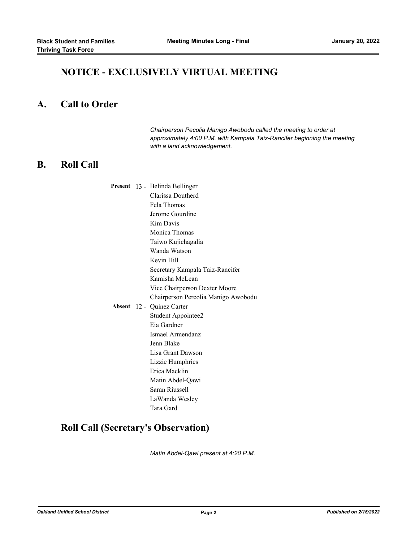## **NOTICE - EXCLUSIVELY VIRTUAL MEETING**

#### **A. Call to Order**

*Chairperson Pecolia Manigo Awobodu called the meeting to order at approximately 4:00 P.M. with Kampala Taiz-Rancifer beginning the meeting with a land acknowledgement.*

### **B. Roll Call**

|  | Present 13 - Belinda Bellinger      |
|--|-------------------------------------|
|  | Clarissa Doutherd                   |
|  | Fela Thomas                         |
|  | Jerome Gourdine                     |
|  | Kim Davis                           |
|  | Monica Thomas                       |
|  | Taiwo Kujichagalia                  |
|  | Wanda Watson                        |
|  | Kevin Hill                          |
|  | Secretary Kampala Taiz-Rancifer     |
|  | Kamisha McLean                      |
|  | Vice Chairperson Dexter Moore       |
|  | Chairperson Percolia Manigo Awobodu |
|  | Absent 12 - Quinez Carter           |
|  | Student Appointee2                  |
|  | Eia Gardner                         |
|  | Ismael Armendanz                    |
|  | Jenn Blake                          |
|  | Lisa Grant Dawson                   |
|  | Lizzie Humphries                    |
|  | Erica Macklin                       |
|  | Matin Abdel-Qawi                    |
|  | Saran Riussell                      |
|  | LaWanda Wesley                      |
|  | Tara Gard                           |
|  |                                     |

# **Roll Call (Secretary's Observation)**

*Matin Abdel-Qawi present at 4:20 P.M.*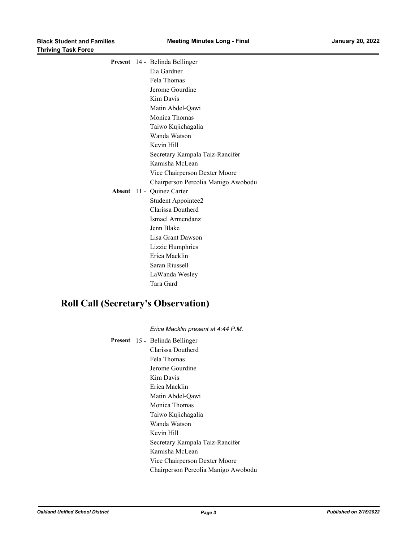|  | Present 14 - Belinda Bellinger      |
|--|-------------------------------------|
|  | Eia Gardner                         |
|  | Fela Thomas                         |
|  | Jerome Gourdine                     |
|  | Kim Davis                           |
|  | Matin Abdel-Qawi                    |
|  | Monica Thomas                       |
|  | Taiwo Kujichagalia                  |
|  | Wanda Watson                        |
|  | Kevin Hill                          |
|  | Secretary Kampala Taiz-Rancifer     |
|  | Kamisha McLean                      |
|  | Vice Chairperson Dexter Moore       |
|  | Chairperson Percolia Manigo Awobodu |
|  | Absent 11 - Quinez Carter           |
|  | Student Appointee2                  |
|  | Clarissa Doutherd                   |
|  | Ismael Armendanz                    |
|  | Jenn Blake                          |
|  | Lisa Grant Dawson                   |
|  | Lizzie Humphries                    |
|  | Erica Macklin                       |
|  | Saran Riussell                      |
|  | LaWanda Wesley                      |
|  | Tara Gard                           |

# **Roll Call (Secretary's Observation)**

|  | Erica Macklin present at 4:44 P.M.  |
|--|-------------------------------------|
|  | Present 15 - Belinda Bellinger      |
|  | Clarissa Doutherd                   |
|  | Fela Thomas                         |
|  | Jerome Gourdine                     |
|  | Kim Davis                           |
|  | Erica Macklin                       |
|  | Matin Abdel-Qawi                    |
|  | Monica Thomas                       |
|  | Taiwo Kujichagalia                  |
|  | Wanda Watson                        |
|  | Kevin Hill                          |
|  | Secretary Kampala Taiz-Rancifer     |
|  | Kamisha McLean                      |
|  | Vice Chairperson Dexter Moore       |
|  | Chairperson Percolia Manigo Awobodu |